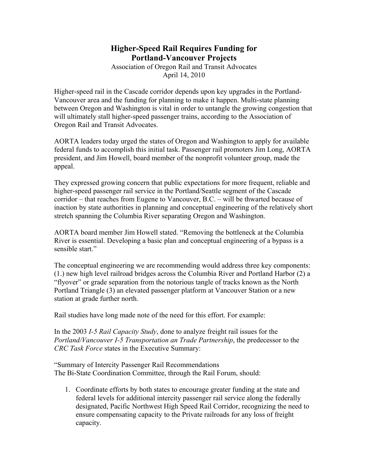## **Higher-Speed Rail Requires Funding for Portland-Vancouver Projects**

Association of Oregon Rail and Transit Advocates April 14, 2010

Higher-speed rail in the Cascade corridor depends upon key upgrades in the Portland-Vancouver area and the funding for planning to make it happen. Multi-state planning between Oregon and Washington is vital in order to untangle the growing congestion that will ultimately stall higher-speed passenger trains, according to the Association of Oregon Rail and Transit Advocates.

AORTA leaders today urged the states of Oregon and Washington to apply for available federal funds to accomplish this initial task. Passenger rail promoters Jim Long, AORTA president, and Jim Howell, board member of the nonprofit volunteer group, made the appeal.

They expressed growing concern that public expectations for more frequent, reliable and higher-speed passenger rail service in the Portland/Seattle segment of the Cascade corridor – that reaches from Eugene to Vancouver, B.C. – will be thwarted because of inaction by state authorities in planning and conceptual engineering of the relatively short stretch spanning the Columbia River separating Oregon and Washington.

AORTA board member Jim Howell stated. "Removing the bottleneck at the Columbia River is essential. Developing a basic plan and conceptual engineering of a bypass is a sensible start."

The conceptual engineering we are recommending would address three key components: (1.) new high level railroad bridges across the Columbia River and Portland Harbor (2) a "flyover" or grade separation from the notorious tangle of tracks known as the North Portland Triangle (3) an elevated passenger platform at Vancouver Station or a new station at grade further north.

Rail studies have long made note of the need for this effort. For example:

In the 2003 *I-5 Rail Capacity Study*, done to analyze freight rail issues for the *Portland/Vancouver I-5 Transportation an Trade Partnership*, the predecessor to the *CRC Task Force* states in the Executive Summary:

"Summary of Intercity Passenger Rail Recommendations The Bi-State Coordination Committee, through the Rail Forum, should:

1. Coordinate efforts by both states to encourage greater funding at the state and federal levels for additional intercity passenger rail service along the federally designated, Pacific Northwest High Speed Rail Corridor, recognizing the need to ensure compensating capacity to the Private railroads for any loss of freight capacity.